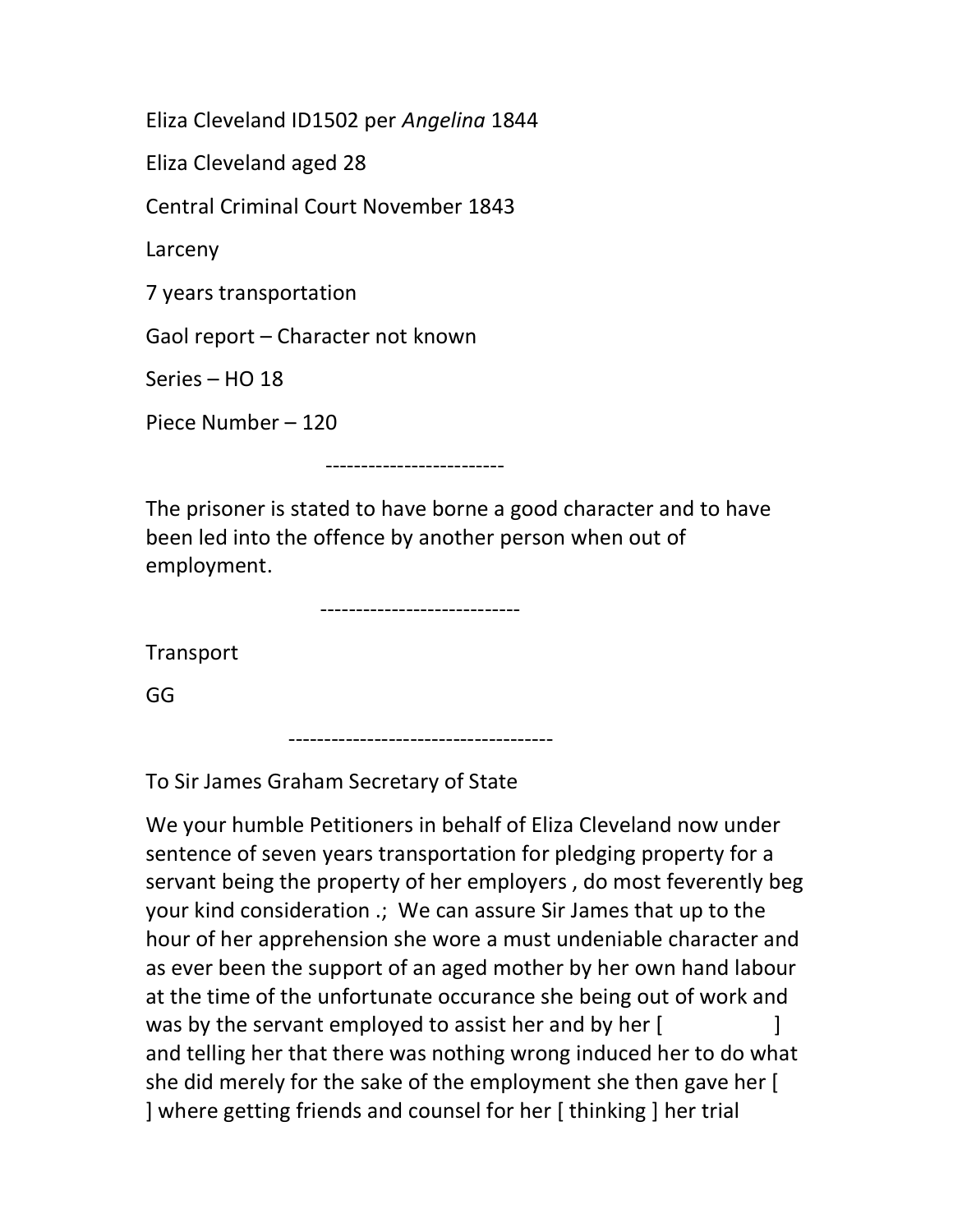Eliza Cleveland ID1502 per Angelina 1844

Eliza Cleveland aged 28

Central Criminal Court November 1843

Larceny

7 years transportation

Gaol report – Character not known

Series – HO 18

Piece Number – 120

-------------------------

The prisoner is stated to have borne a good character and to have been led into the offence by another person when out of employment.

----------------------------

**Transport** 

GG

-------------------------------------

To Sir James Graham Secretary of State

We your humble Petitioners in behalf of Eliza Cleveland now under sentence of seven years transportation for pledging property for a servant being the property of her employers , do most feverently beg your kind consideration .; We can assure Sir James that up to the hour of her apprehension she wore a must undeniable character and as ever been the support of an aged mother by her own hand labour at the time of the unfortunate occurance she being out of work and was by the servant employed to assist her and by her [ and telling her that there was nothing wrong induced her to do what she did merely for the sake of the employment she then gave her [ ] where getting friends and counsel for her [ thinking ] her trial